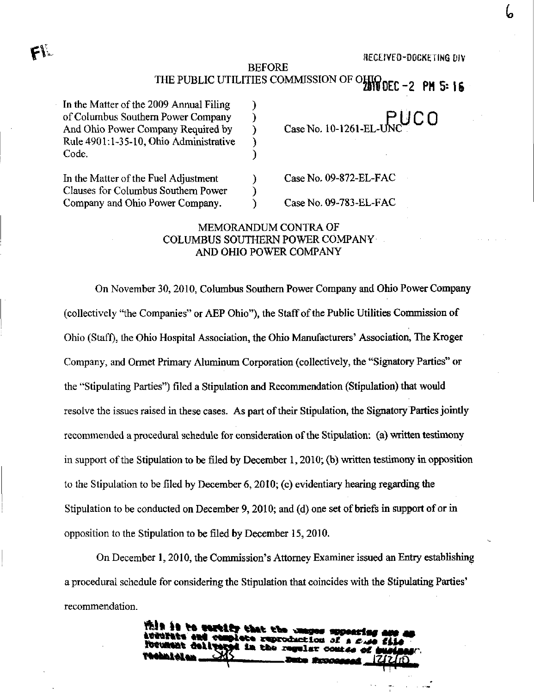BEFORE THE PUBLIC UTILITIES COMMISSION OF OHIO DEC -2 PM 5: 16

In the Matter of the 2009 Annual Filing of Columbus Southem Power Company And Ohio Power Company Required by Rule 4901:1-35-10, Ohio Administrative Code.

In the Matter of the Fuel Adjustment Clauses for Columbus Southem Power Company and Ohio Power Company.

CaseNo. 10-1261-EL RUCO

Case No. 09-872-EL-FAC

Case No. 09-783-EL-FAC

## MEMORANDUM CONTRA OF COLUMBUS SOUTHERN POWER COMPANY AND OHIO POWER COMPANY

 $\mathcal{E}$ €  $\mathcal{Y}$ € €

 $\lambda$ 

On November 30,2010, Columbus Southem Power Company and Ohio Power Company (collectively "the Companies" or AEP Ohio"), the Staff of the Public Utilities Commission of Ohio (Staff), the Ohio Hospital Association, the Ohio Manufacturers' Association, The Kroger Company, and Ormet Primary Aluminum Corporation (collectively, the "Signatory Parties" or the "Stipulating Parties") filed a Stipulation and Recommendation (Stipulation) that would resolve the issues raised in these cases. As part of their Stipulation, the Signatory Parties jointly recommended a procedural schedule for consideration of the Stipulation: (a) written testimony in support of the Stipulation to be filed by December 1, 2010; (b) written testimony in opposition to the Stipulation to be filed by December 6,2010; (c) evidentiary hearing regarding the Stipulation to be conducted on December 9,2010; and (d) one set of briefs in support of or in opposition to the Stipulation to be filed by December 15, 2010.

On December 1,2010, the Commission's Attomey Examiner issued an Entry establishing a procedural schedule for considering the Stipulation that coincides with the Stipulating Parties' recommendation.

> This is to cortify that the a te end complete reproduction of gey ( AP) d in the regular comise <u>گ</u>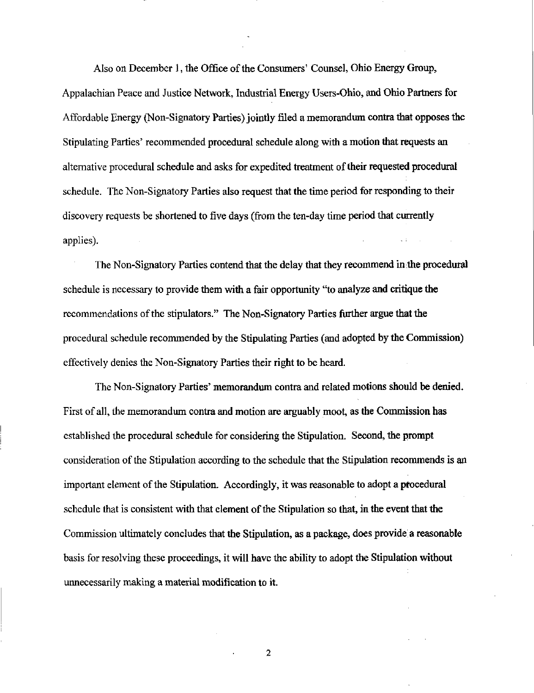Also on December 1, the Office of the Consumers' Counsel, Ohio Energy Group, Appalachian Peace and Justice Network, Industrial Energy Users-Ohio, and Ohio Partners for Affordable Energy (Non-Signatory Parties) jointly filed a memorandum contra that opposes the Stipulating Parties' recommended procedural schedule along with a motion that requests an altemative procedural schedule and asks for expedited treatment of their requested procedural schedule. The Non-Signatory Parties also request that the time period for responding to their discovery requests be shortened to five days (from the ten-day time period that currently applies).

The Non-Signatory Parties contend that the delay that they recommend in the procedural schedule is necessary to provide them with a fair opportunity "to analyze and critique the recommendations of the stipulators." The Non-Signatory Parties further argue that the procedural schedule recommended by the Stipulating Parties (and adopted by the Commission) effectively denies the Non-Signatory Parties their right to be heard.

The Non-Signatory Parties' memorandum contra and related motions should be denied. First of all, the memorandum contra and motion are arguably moot, as the Commission has established the procedural schedule for considering the Stipulation. Second, the prompt consideration of the Stipulation according to the schedule that the Stipulation recommends is an important element of the Stipulation. Accordingly, it was reasonable to adopt a procedural schedule that is consistent with that element of the Stipulation so that, in the event that the Commission ultimately concludes that the Stipulation, as a package, does provide a reasonable basis for resolving these proceedings, it will have the ability to adopt the Stipulation without urmecessarily making a material modification to it.

2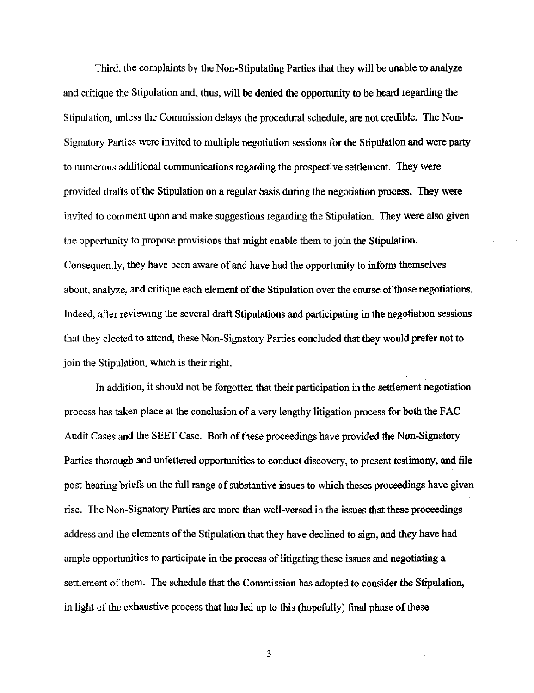Third, the complaints by the Non-Stipulating Parties that they will be unable to analyze and critique the Stipulation and, thus, will be denied the opportunity to be heard regarding the Stipulation, unless the Commission delays the procedural schedule, are not credible. The Non-Signatory Parties were invited to multiple negotiation sessions for the Stipulation and were party to numerous additional communications regarding the prospective settlement. They were provided drafts of the Stipulation on a regular basis during the negotiation process. They were invited to comment upon and make suggestions regarding the Stipulation. They were also given the opportunity to propose provisions that might enable them to join the Stipulation. Consequently, they have been aware of and have had the opportunity to inform themselves about, analyze, and critique each element of the Stipulation over the course of those negotiations. Indeed, after reviewing the several draft Stipulations and participating in the negotiation sessions that they elected to attend, these Non-Signatory Parties concluded that they would prefer not to join the Stipulation, which is their right.

In addition, it should not be forgotten that their participation in the settlement negotiation process has taken place at the conclusion of a very lengthy litigation process for both the FAC Audit Cases and the SEET Case. Both of these proceedmgs have provided the Non-Signatory Parties thorough and unfettered opportunities to conduct discovery, to present testimony, and file post-hearing briefs on the full range of substantive issues to which theses proceedings have given rise. The Non-Signatory Parties are more than well-versed in the issues that these proceedings address and the elements of the Stipulation that they have declined to sign, and they have had ample opportunities to participate in the process of litigating these issues and negotiating a settlement of them. The schedule that the Commission has adopted to consider the Stipulation, in light of the exhaustive process that has led up to this (hopefully) final phase of these

3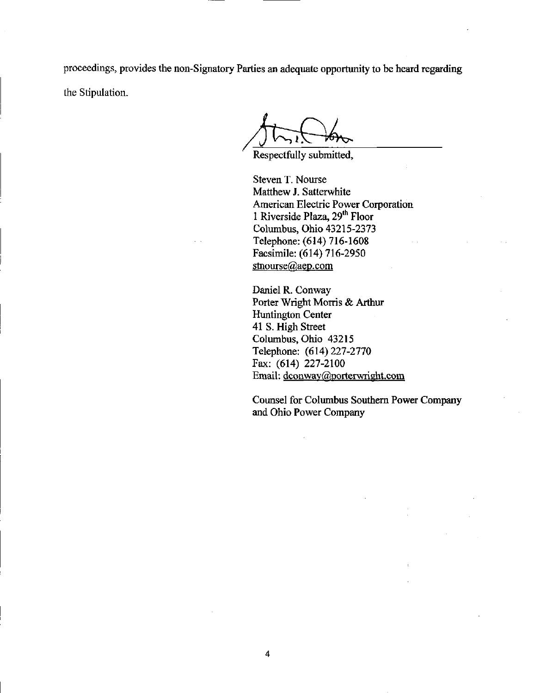proceedings, provides the non-Signatory Parties an adequate opportunity to be heard regarding the Stipulation.

Respectfully submitted,

Steven T. Nourse Matthew J. Satterwhite American Electric Power Corporation 1 Riverside Plaza, 29<sup>th</sup> Floor Columbus, Ohio 43215-2373 Telephone: (614) 716-1608 Facsimile: (614) 716-2950 [stnourse@aep.com](mailto:stnourse@aep.com) 

Daniel R. Conway Porter Wright Morris & Arthur Huntington Center 41 S. High Street Columbus, Ohio 43215 Telephone: (614)227-2770 Fax: (614) 227-2100 Email: dconway@porterwright.com

Counsel for Columbus Southem Power Company and Ohio Power Company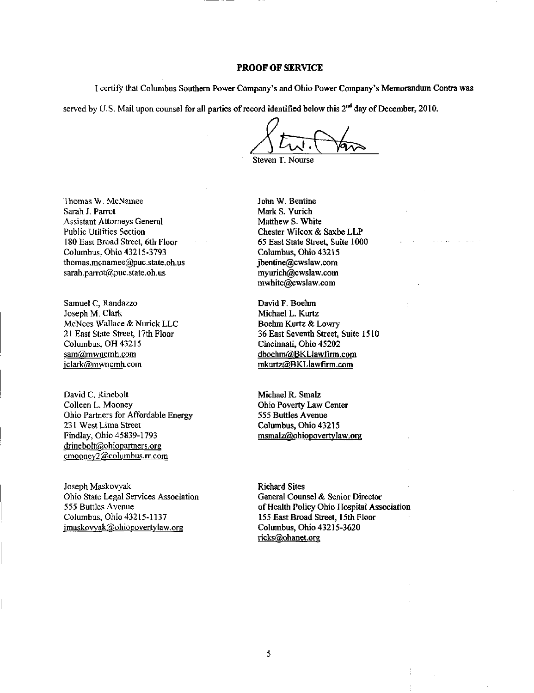## PROOF OF SERVICE

I ceitify that Columbus Southern Power Company's and Ohio Power Company's Memorandum Contra was

served by U.S. Mail upon counsel for all parties of record identified below this  $2<sup>nd</sup>$  day of December, 2010.

Steven T. Nourse

Thomas W. McNamee Sarah J. Parrot Assistant Attomeys General Public Utilities Section 180 East Broad Street, 6th Floor Columbus, Ohio 43215-3793 [thomas.mcnamee@puc.state.oh.us](mailto:thomas.mcnamee@puc.state.oh.us)  [sarah.parrot@puc.state.oh.us](mailto:sarah.parrot@puc.state.oh.us) 

Samuel C, Randazzo Joseph M. Clark McNees Wallace & Nurick LLC 21 East State Street, 17th Floor Columbus, OH 43215 sam@mwncmh.com jclark@mwncmh.com

David C, Rinebolt Colleen L. Mooney Ohio Partners for Affordable Energy 231 West Lima Street Findlay, Ohio 45839-1793 [drinebolt@ohiopartners.org](mailto:drinebolt@ohiopartners.org)  cmoonev2(@columbus.rr.com

Joseph Maskovyak Ohio State Legal Services Association 555 Buttles Avenue Columbus, Ohio 43215-1137 jmaskovyak@ohiopovertylaw.org

John W. Bentine Mark S. Yurich Matthew S. White Chester Wilcox & Saxbe LLP 65 East State Street, Suite 1000 Columbus, Ohio 43215 [jbentine@cwslaw.com](mailto:jbentine@cwslaw.com)  [myurich@cwslaw.com](mailto:myurich@cwslaw.com)  [mwhite@cwslaw.com](mailto:mwhite@cwslaw.com) 

David F. Boehm Michael L. Kurtz Boehm Kurtz & Lowry 36 East Seventh Street, Suite 1510 Cincinnati, Ohio 45202 [dboehm@BKLlawfirm.com](mailto:dboehm@BKLlawfirm.com)  mkurtz@BKL [lawfirm.com](http://lawfirm.com)

Michael R. Smalz Ohio Poverty Law Center 555 Buttles Avenue Columbus, Ohio 43215 msmalz@ohiopovertylaw.org

Richard Sites General Counsel & Senior Director of Health Policy Ohio Hospital Association 155 East Broad Street, 15th Floor Columbus, Ohio 43215-3620 ricks@ohanet.org